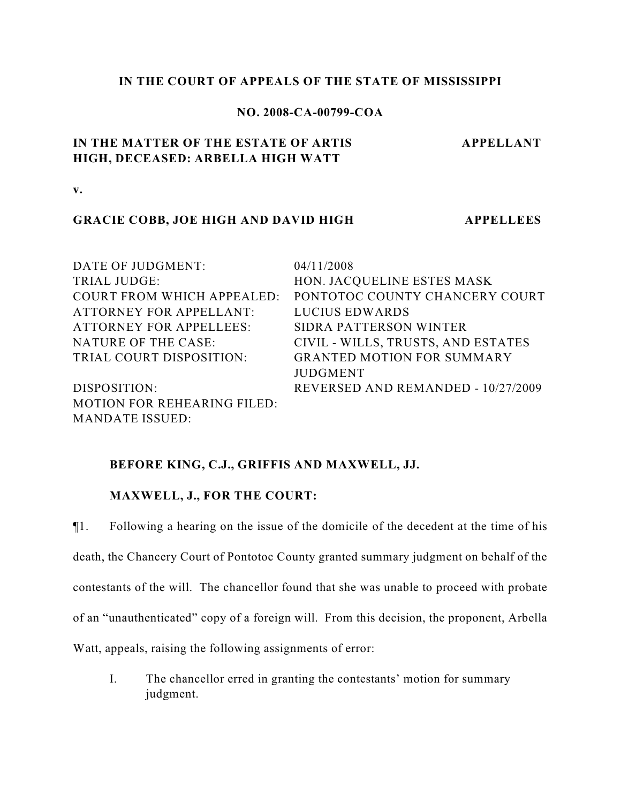## **IN THE COURT OF APPEALS OF THE STATE OF MISSISSIPPI**

## **NO. 2008-CA-00799-COA**

# **IN THE MATTER OF THE ESTATE OF ARTIS HIGH, DECEASED: ARBELLA HIGH WATT**

**APPELLANT**

**v.**

## **GRACIE COBB, JOE HIGH AND DAVID HIGH APPELLEES**

DATE OF JUDGMENT: 04/11/2008 TRIAL JUDGE: HON. JACQUELINE ESTES MASK COURT FROM WHICH APPEALED: PONTOTOC COUNTY CHANCERY COURT ATTORNEY FOR APPELLANT: LUCIUS EDWARDS ATTORNEY FOR APPELLEES: SIDRA PATTERSON WINTER NATURE OF THE CASE: CIVIL - WILLS, TRUSTS, AND ESTATES TRIAL COURT DISPOSITION: GRANTED MOTION FOR SUMMARY JUDGMENT DISPOSITION: REVERSED AND REMANDED - 10/27/2009 MOTION FOR REHEARING FILED: MANDATE ISSUED:

## **BEFORE KING, C.J., GRIFFIS AND MAXWELL, JJ.**

### **MAXWELL, J., FOR THE COURT:**

¶1. Following a hearing on the issue of the domicile of the decedent at the time of his death, the Chancery Court of Pontotoc County granted summary judgment on behalf of the contestants of the will. The chancellor found that she was unable to proceed with probate of an "unauthenticated" copy of a foreign will. From this decision, the proponent, Arbella Watt, appeals, raising the following assignments of error:

I. The chancellor erred in granting the contestants' motion for summary judgment.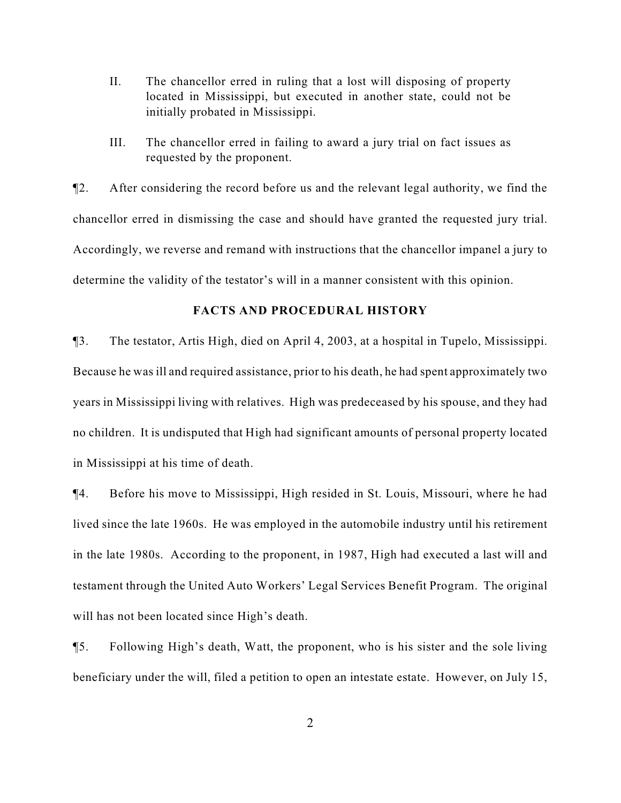- II. The chancellor erred in ruling that a lost will disposing of property located in Mississippi, but executed in another state, could not be initially probated in Mississippi.
- III. The chancellor erred in failing to award a jury trial on fact issues as requested by the proponent.

¶2. After considering the record before us and the relevant legal authority, we find the chancellor erred in dismissing the case and should have granted the requested jury trial. Accordingly, we reverse and remand with instructions that the chancellor impanel a jury to determine the validity of the testator's will in a manner consistent with this opinion.

### **FACTS AND PROCEDURAL HISTORY**

¶3. The testator, Artis High, died on April 4, 2003, at a hospital in Tupelo, Mississippi. Because he was ill and required assistance, prior to his death, he had spent approximately two years in Mississippi living with relatives. High was predeceased by his spouse, and they had no children. It is undisputed that High had significant amounts of personal property located in Mississippi at his time of death.

¶4. Before his move to Mississippi, High resided in St. Louis, Missouri, where he had lived since the late 1960s. He was employed in the automobile industry until his retirement in the late 1980s. According to the proponent, in 1987, High had executed a last will and testament through the United Auto Workers' Legal Services Benefit Program. The original will has not been located since High's death.

¶5. Following High's death, Watt, the proponent, who is his sister and the sole living beneficiary under the will, filed a petition to open an intestate estate. However, on July 15,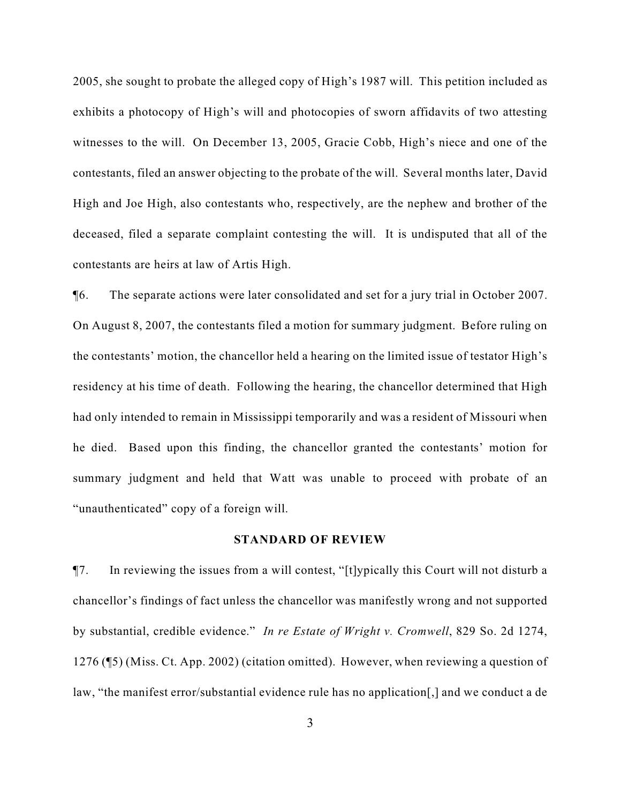2005, she sought to probate the alleged copy of High's 1987 will. This petition included as exhibits a photocopy of High's will and photocopies of sworn affidavits of two attesting witnesses to the will. On December 13, 2005, Gracie Cobb, High's niece and one of the contestants, filed an answer objecting to the probate of the will. Several months later, David High and Joe High, also contestants who, respectively, are the nephew and brother of the deceased, filed a separate complaint contesting the will. It is undisputed that all of the contestants are heirs at law of Artis High.

¶6. The separate actions were later consolidated and set for a jury trial in October 2007. On August 8, 2007, the contestants filed a motion for summary judgment. Before ruling on the contestants' motion, the chancellor held a hearing on the limited issue of testator High's residency at his time of death. Following the hearing, the chancellor determined that High had only intended to remain in Mississippi temporarily and was a resident of Missouri when he died. Based upon this finding, the chancellor granted the contestants' motion for summary judgment and held that Watt was unable to proceed with probate of an "unauthenticated" copy of a foreign will.

#### **STANDARD OF REVIEW**

¶7. In reviewing the issues from a will contest, "[t]ypically this Court will not disturb a chancellor's findings of fact unless the chancellor was manifestly wrong and not supported by substantial, credible evidence." *In re Estate of Wright v. Cromwell*, 829 So. 2d 1274, 1276 (¶5) (Miss. Ct. App. 2002) (citation omitted). However, when reviewing a question of law, "the manifest error/substantial evidence rule has no application[,] and we conduct a de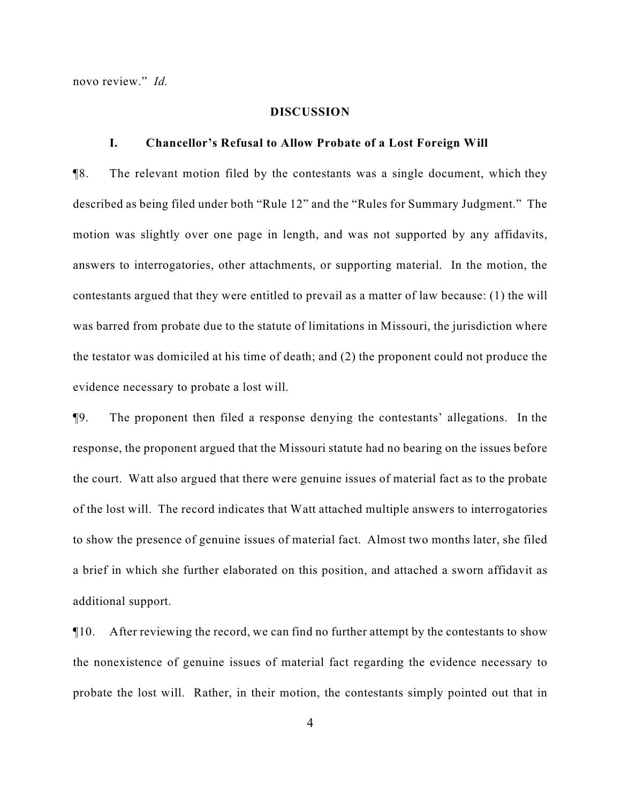novo review." *Id.*

### **DISCUSSION**

#### **I. Chancellor's Refusal to Allow Probate of a Lost Foreign Will**

¶8. The relevant motion filed by the contestants was a single document, which they described as being filed under both "Rule 12" and the "Rules for Summary Judgment." The motion was slightly over one page in length, and was not supported by any affidavits, answers to interrogatories, other attachments, or supporting material. In the motion, the contestants argued that they were entitled to prevail as a matter of law because: (1) the will was barred from probate due to the statute of limitations in Missouri, the jurisdiction where the testator was domiciled at his time of death; and (2) the proponent could not produce the evidence necessary to probate a lost will.

¶9. The proponent then filed a response denying the contestants' allegations. In the response, the proponent argued that the Missouri statute had no bearing on the issues before the court. Watt also argued that there were genuine issues of material fact as to the probate of the lost will. The record indicates that Watt attached multiple answers to interrogatories to show the presence of genuine issues of material fact. Almost two months later, she filed a brief in which she further elaborated on this position, and attached a sworn affidavit as additional support.

 $\P$ 10. After reviewing the record, we can find no further attempt by the contestants to show the nonexistence of genuine issues of material fact regarding the evidence necessary to probate the lost will. Rather, in their motion, the contestants simply pointed out that in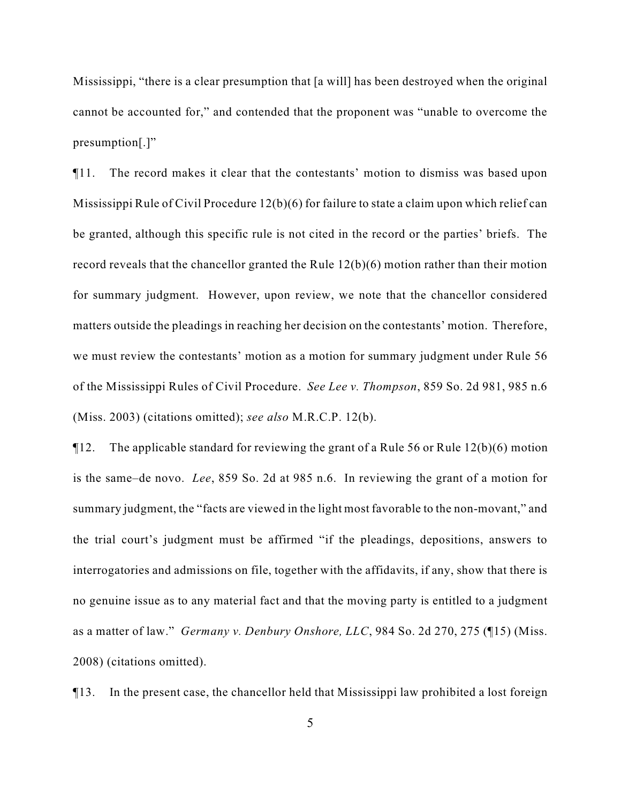Mississippi, "there is a clear presumption that [a will] has been destroyed when the original cannot be accounted for," and contended that the proponent was "unable to overcome the presumption[.]"

¶11. The record makes it clear that the contestants' motion to dismiss was based upon Mississippi Rule of Civil Procedure 12(b)(6) for failure to state a claim upon which relief can be granted, although this specific rule is not cited in the record or the parties' briefs. The record reveals that the chancellor granted the Rule 12(b)(6) motion rather than their motion for summary judgment. However, upon review, we note that the chancellor considered matters outside the pleadings in reaching her decision on the contestants' motion. Therefore, we must review the contestants' motion as a motion for summary judgment under Rule 56 of the Mississippi Rules of Civil Procedure. *See Lee v. Thompson*, 859 So. 2d 981, 985 n.6 (Miss. 2003) (citations omitted); *see also* M.R.C.P. 12(b).

¶12. The applicable standard for reviewing the grant of a Rule 56 or Rule 12(b)(6) motion is the same–de novo. *Lee*, 859 So. 2d at 985 n.6. In reviewing the grant of a motion for summary judgment, the "facts are viewed in the light most favorable to the non-movant," and the trial court's judgment must be affirmed "if the pleadings, depositions, answers to interrogatories and admissions on file, together with the affidavits, if any, show that there is no genuine issue as to any material fact and that the moving party is entitled to a judgment as a matter of law." *Germany v. Denbury Onshore, LLC*, 984 So. 2d 270, 275 (¶15) (Miss. 2008) (citations omitted).

¶13. In the present case, the chancellor held that Mississippi law prohibited a lost foreign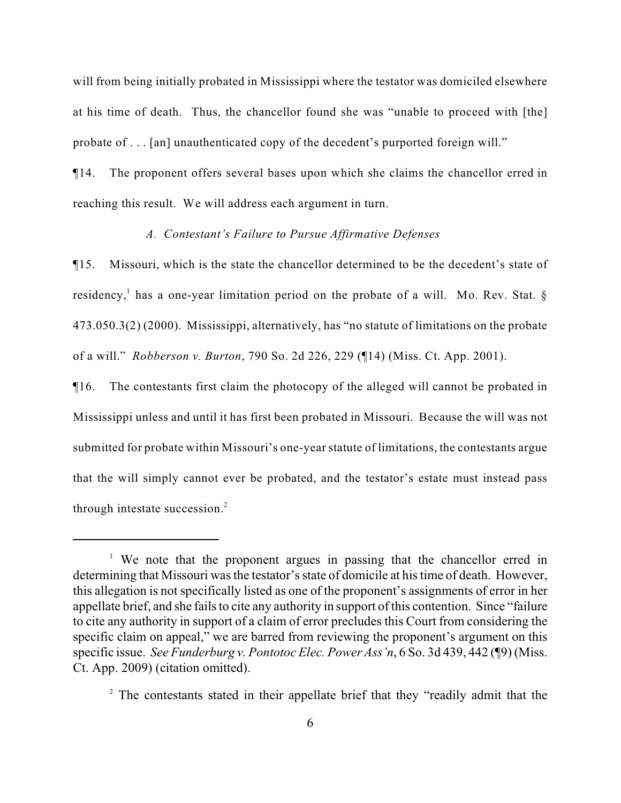will from being initially probated in Mississippi where the testator was domiciled elsewhere at his time of death. Thus, the chancellor found she was "unable to proceed with [the] probate of . . . [an] unauthenticated copy of the decedent's purported foreign will."

¶14. The proponent offers several bases upon which she claims the chancellor erred in reaching this result. We will address each argument in turn.

## *A. Contestant's Failure to Pursue Affirmative Defenses*

¶15. Missouri, which is the state the chancellor determined to be the decedent's state of residency,<sup>1</sup> has a one-year limitation period on the probate of a will. Mo. Rev. Stat.  $\S$ 473.050.3(2) (2000). Mississippi, alternatively, has "no statute of limitations on the probate of a will." *Robberson v. Burton*, 790 So. 2d 226, 229 (¶14) (Miss. Ct. App. 2001).

¶16. The contestants first claim the photocopy of the alleged will cannot be probated in Mississippi unless and until it has first been probated in Missouri. Because the will was not submitted for probate within Missouri's one-year statute of limitations, the contestants argue that the will simply cannot ever be probated, and the testator's estate must instead pass through intestate succession. $<sup>2</sup>$ </sup>

<sup>&</sup>lt;sup>1</sup> We note that the proponent argues in passing that the chancellor erred in determining that Missouri was the testator's state of domicile at his time of death. However, this allegation is not specifically listed as one of the proponent's assignments of error in her appellate brief, and she fails to cite any authority in support of this contention. Since "failure to cite any authority in support of a claim of error precludes this Court from considering the specific claim on appeal," we are barred from reviewing the proponent's argument on this specific issue. *See Funderburg v. Pontotoc Elec. Power Ass'n*, 6 So. 3d 439, 442 (¶9) (Miss. Ct. App. 2009) (citation omitted).

 $2$  The contestants stated in their appellate brief that they "readily admit that the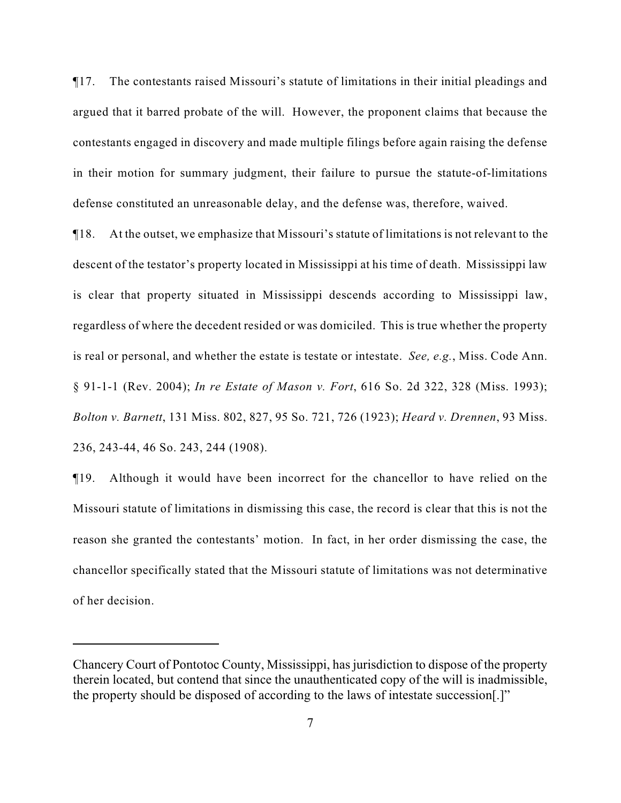¶17. The contestants raised Missouri's statute of limitations in their initial pleadings and argued that it barred probate of the will. However, the proponent claims that because the contestants engaged in discovery and made multiple filings before again raising the defense in their motion for summary judgment, their failure to pursue the statute-of-limitations defense constituted an unreasonable delay, and the defense was, therefore, waived.

¶18. At the outset, we emphasize that Missouri's statute of limitations is not relevant to the descent of the testator's property located in Mississippi at his time of death. Mississippi law is clear that property situated in Mississippi descends according to Mississippi law, regardless of where the decedent resided or was domiciled. This is true whether the property is real or personal, and whether the estate is testate or intestate. *See, e.g.*, Miss. Code Ann. § 91-1-1 (Rev. 2004); *In re Estate of Mason v. Fort*, 616 So. 2d 322, 328 (Miss. 1993); *Bolton v. Barnett*, 131 Miss. 802, 827, 95 So. 721, 726 (1923); *Heard v. Drennen*, 93 Miss. 236, 243-44, 46 So. 243, 244 (1908).

¶19. Although it would have been incorrect for the chancellor to have relied on the Missouri statute of limitations in dismissing this case, the record is clear that this is not the reason she granted the contestants' motion. In fact, in her order dismissing the case, the chancellor specifically stated that the Missouri statute of limitations was not determinative of her decision.

Chancery Court of Pontotoc County, Mississippi, has jurisdiction to dispose of the property therein located, but contend that since the unauthenticated copy of the will is inadmissible, the property should be disposed of according to the laws of intestate succession[.]"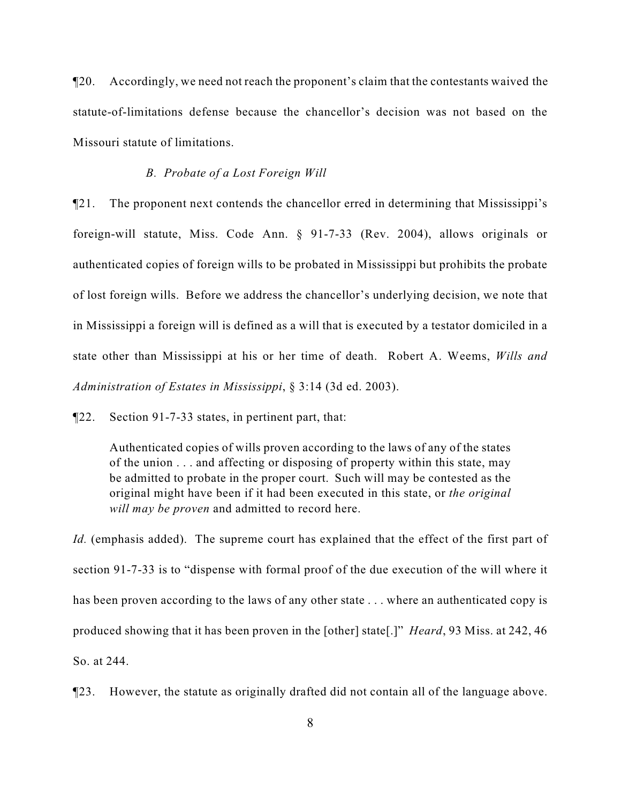¶20. Accordingly, we need not reach the proponent's claim that the contestants waived the statute-of-limitations defense because the chancellor's decision was not based on the Missouri statute of limitations.

### *B. Probate of a Lost Foreign Will*

¶21. The proponent next contends the chancellor erred in determining that Mississippi's foreign-will statute, Miss. Code Ann. § 91-7-33 (Rev. 2004), allows originals or authenticated copies of foreign wills to be probated in Mississippi but prohibits the probate of lost foreign wills. Before we address the chancellor's underlying decision, we note that in Mississippi a foreign will is defined as a will that is executed by a testator domiciled in a state other than Mississippi at his or her time of death. Robert A. Weems, *Wills and Administration of Estates in Mississippi*, § 3:14 (3d ed. 2003).

¶22. Section 91-7-33 states, in pertinent part, that:

Authenticated copies of wills proven according to the laws of any of the states of the union . . . and affecting or disposing of property within this state, may be admitted to probate in the proper court. Such will may be contested as the original might have been if it had been executed in this state, or *the original will may be proven* and admitted to record here.

*Id.* (emphasis added). The supreme court has explained that the effect of the first part of section 91-7-33 is to "dispense with formal proof of the due execution of the will where it has been proven according to the laws of any other state ... where an authenticated copy is produced showing that it has been proven in the [other] state[.]" *Heard*, 93 Miss. at 242, 46 So. at 244.

¶23. However, the statute as originally drafted did not contain all of the language above.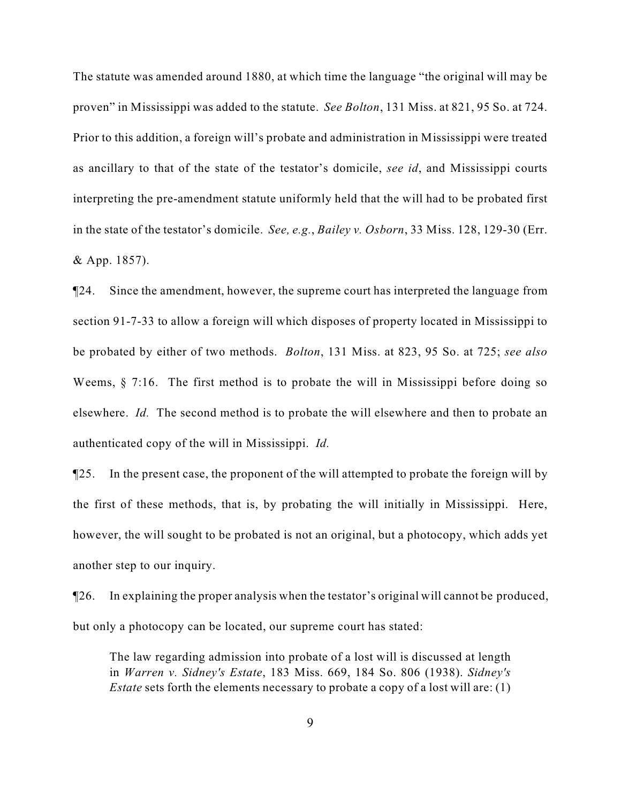The statute was amended around 1880, at which time the language "the original will may be proven" in Mississippi was added to the statute. *See Bolton*, 131 Miss. at 821, 95 So. at 724. Prior to this addition, a foreign will's probate and administration in Mississippi were treated as ancillary to that of the state of the testator's domicile, *see id*, and Mississippi courts interpreting the pre-amendment statute uniformly held that the will had to be probated first in the state of the testator's domicile. *See, e.g.*, *Bailey v. Osborn*, 33 Miss. 128, 129-30 (Err. & App. 1857).

¶24. Since the amendment, however, the supreme court has interpreted the language from section 91-7-33 to allow a foreign will which disposes of property located in Mississippi to be probated by either of two methods. *Bolton*, 131 Miss. at 823, 95 So. at 725; *see also* Weems, § 7:16. The first method is to probate the will in Mississippi before doing so elsewhere. *Id.* The second method is to probate the will elsewhere and then to probate an authenticated copy of the will in Mississippi. *Id.*

¶25. In the present case, the proponent of the will attempted to probate the foreign will by the first of these methods, that is, by probating the will initially in Mississippi. Here, however, the will sought to be probated is not an original, but a photocopy, which adds yet another step to our inquiry.

¶26. In explaining the proper analysis when the testator's original will cannot be produced, but only a photocopy can be located, our supreme court has stated:

The law regarding admission into probate of a lost will is discussed at length in *Warren v. Sidney's Estate*, 183 Miss. 669, 184 So. 806 (1938). *Sidney's Estate* sets forth the elements necessary to probate a copy of a lost will are: (1)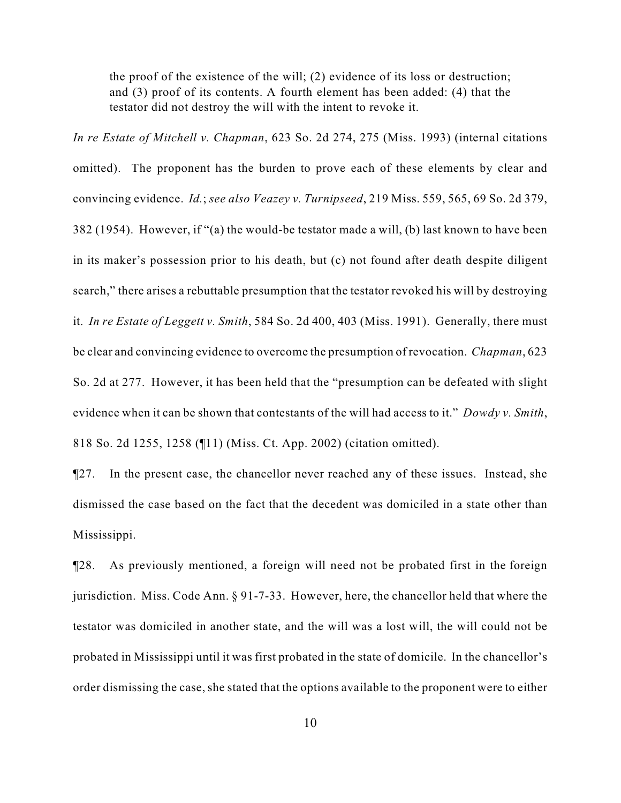the proof of the existence of the will; (2) evidence of its loss or destruction; and (3) proof of its contents. A fourth element has been added: (4) that the testator did not destroy the will with the intent to revoke it.

*In re Estate of Mitchell v. Chapman*, 623 So. 2d 274, 275 (Miss. 1993) (internal citations omitted). The proponent has the burden to prove each of these elements by clear and convincing evidence. *Id.*; *see also Veazey v. Turnipseed*, 219 Miss. 559, 565, 69 So. 2d 379, 382 (1954). However, if "(a) the would-be testator made a will, (b) last known to have been in its maker's possession prior to his death, but (c) not found after death despite diligent search," there arises a rebuttable presumption that the testator revoked his will by destroying it. *In re Estate of Leggett v. Smith*, 584 So. 2d 400, 403 (Miss. 1991). Generally, there must be clear and convincing evidence to overcome the presumption of revocation. *Chapman*, 623 So. 2d at 277. However, it has been held that the "presumption can be defeated with slight evidence when it can be shown that contestants of the will had access to it." *Dowdy v. Smith*, 818 So. 2d 1255, 1258 (¶11) (Miss. Ct. App. 2002) (citation omitted).

¶27. In the present case, the chancellor never reached any of these issues. Instead, she dismissed the case based on the fact that the decedent was domiciled in a state other than Mississippi.

¶28. As previously mentioned, a foreign will need not be probated first in the foreign jurisdiction. Miss. Code Ann. § 91-7-33. However, here, the chancellor held that where the testator was domiciled in another state, and the will was a lost will, the will could not be probated in Mississippi until it was first probated in the state of domicile. In the chancellor's order dismissing the case, she stated that the options available to the proponent were to either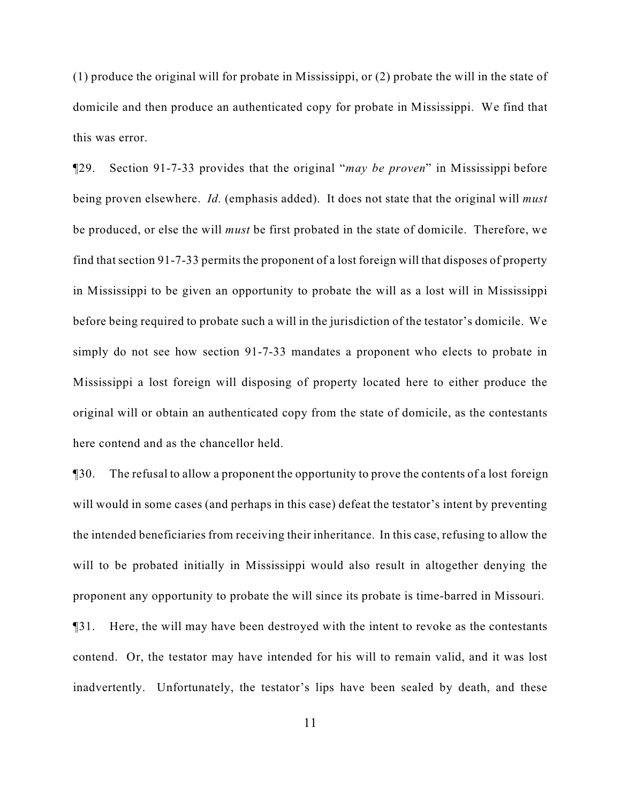(1) produce the original will for probate in Mississippi, or (2) probate the will in the state of domicile and then produce an authenticated copy for probate in Mississippi. We find that this was error.

¶29. Section 91-7-33 provides that the original "*may be proven*" in Mississippi before being proven elsewhere. *Id.* (emphasis added). It does not state that the original will *must* be produced, or else the will *must* be first probated in the state of domicile. Therefore, we find that section 91-7-33 permits the proponent of a lost foreign will that disposes of property in Mississippi to be given an opportunity to probate the will as a lost will in Mississippi before being required to probate such a will in the jurisdiction of the testator's domicile. We simply do not see how section 91-7-33 mandates a proponent who elects to probate in Mississippi a lost foreign will disposing of property located here to either produce the original will or obtain an authenticated copy from the state of domicile, as the contestants here contend and as the chancellor held.

¶30. The refusal to allow a proponent the opportunity to prove the contents of a lost foreign will would in some cases (and perhaps in this case) defeat the testator's intent by preventing the intended beneficiaries from receiving their inheritance. In this case, refusing to allow the will to be probated initially in Mississippi would also result in altogether denying the proponent any opportunity to probate the will since its probate is time-barred in Missouri. ¶31. Here, the will may have been destroyed with the intent to revoke as the contestants contend. Or, the testator may have intended for his will to remain valid, and it was lost inadvertently. Unfortunately, the testator's lips have been sealed by death, and these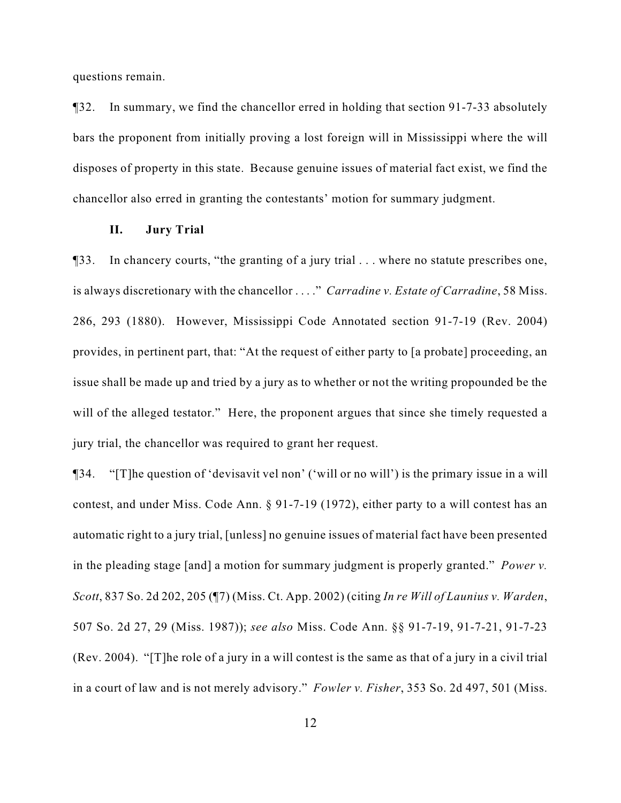questions remain.

¶32. In summary, we find the chancellor erred in holding that section 91-7-33 absolutely bars the proponent from initially proving a lost foreign will in Mississippi where the will disposes of property in this state. Because genuine issues of material fact exist, we find the chancellor also erred in granting the contestants' motion for summary judgment.

### **II. Jury Trial**

¶33. In chancery courts, "the granting of a jury trial . . . where no statute prescribes one, is always discretionary with the chancellor . . . ." *Carradine v. Estate of Carradine*, 58 Miss. 286, 293 (1880). However, Mississippi Code Annotated section 91-7-19 (Rev. 2004) provides, in pertinent part, that: "At the request of either party to [a probate] proceeding, an issue shall be made up and tried by a jury as to whether or not the writing propounded be the will of the alleged testator." Here, the proponent argues that since she timely requested a jury trial, the chancellor was required to grant her request.

¶34. "[T]he question of 'devisavit vel non' ('will or no will') is the primary issue in a will contest, and under Miss. Code Ann. § 91-7-19 (1972), either party to a will contest has an automatic right to a jury trial, [unless] no genuine issues of material fact have been presented in the pleading stage [and] a motion for summary judgment is properly granted." *Power v. Scott*, 837 So. 2d 202, 205 (¶7) (Miss. Ct. App. 2002) (citing *In re Will of Launius v. Warden*, 507 So. 2d 27, 29 (Miss. 1987)); *see also* Miss. Code Ann. §§ 91-7-19, 91-7-21, 91-7-23 (Rev. 2004). "[T]he role of a jury in a will contest is the same as that of a jury in a civil trial in a court of law and is not merely advisory." *Fowler v. Fisher*, 353 So. 2d 497, 501 (Miss.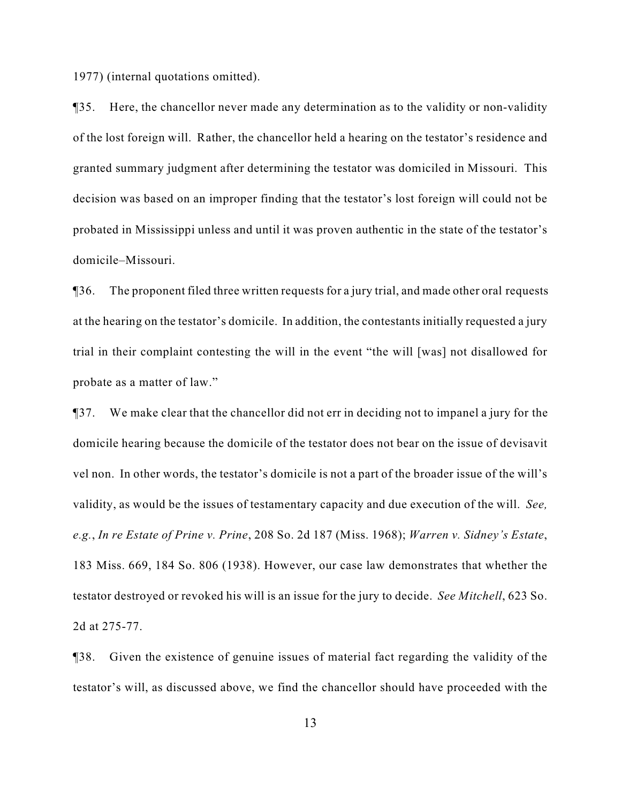1977) (internal quotations omitted).

¶35. Here, the chancellor never made any determination as to the validity or non-validity of the lost foreign will. Rather, the chancellor held a hearing on the testator's residence and granted summary judgment after determining the testator was domiciled in Missouri. This decision was based on an improper finding that the testator's lost foreign will could not be probated in Mississippi unless and until it was proven authentic in the state of the testator's domicile–Missouri.

¶36. The proponent filed three written requests for a jury trial, and made other oral requests at the hearing on the testator's domicile. In addition, the contestants initially requested a jury trial in their complaint contesting the will in the event "the will [was] not disallowed for probate as a matter of law."

¶37. We make clear that the chancellor did not err in deciding not to impanel a jury for the domicile hearing because the domicile of the testator does not bear on the issue of devisavit vel non. In other words, the testator's domicile is not a part of the broader issue of the will's validity, as would be the issues of testamentary capacity and due execution of the will. *See, e.g.*, *In re Estate of Prine v. Prine*, 208 So. 2d 187 (Miss. 1968); *Warren v. Sidney's Estate*, 183 Miss. 669, 184 So. 806 (1938). However, our case law demonstrates that whether the testator destroyed or revoked his will is an issue for the jury to decide. *See Mitchell*, 623 So. 2d at 275-77.

¶38. Given the existence of genuine issues of material fact regarding the validity of the testator's will, as discussed above, we find the chancellor should have proceeded with the